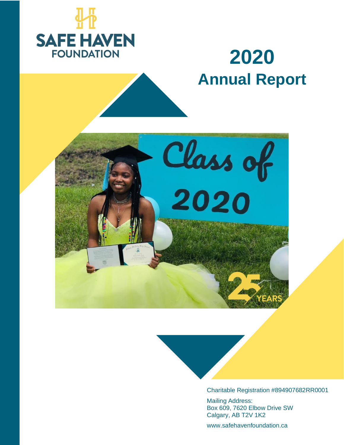

# **2020 Annual Report**





Charitable Registration #894907682RR0001

Mailing Address: Box 609, 7620 Elbow Drive SW Calgary, AB T2V 1K2

www.safehavenfoundation.ca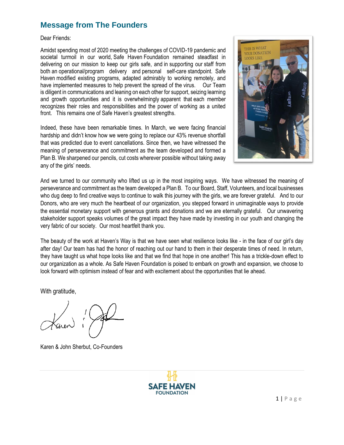# **Message from The Founders**

Dear Friends:

Amidst spending most of 2020 meeting the challenges of COVID-19 pandemic and societal turmoil in our world, Safe Haven Foundation remained steadfast in delivering on our mission to keep our girls safe, and in supporting our staff from both an operational/program delivery and personal self-care standpoint. Safe Haven modified existing programs, adapted admirably to working remotely, and have implemented measures to help prevent the spread of the virus. Our Team is diligent in communications and leaning on each other for support, seizing learning and growth opportunities and it is overwhelmingly apparent that each member recognizes their roles and responsibilities and the power of working as a united front. This remains one of Safe Haven's greatest strengths.

Indeed, these have been remarkable times. In March, we were facing financial hardship and didn't know how we were going to replace our 43% revenue shortfall that was predicted due to event cancellations. Since then, we have witnessed the meaning of perseverance and commitment as the team developed and formed a Plan B. We sharpened our pencils, cut costs wherever possible without taking away any of the girls' needs.



And we turned to our community who lifted us up in the most inspiring ways. We have witnessed the meaning of perseverance and commitment as the team developed a Plan B. To our Board, Staff, Volunteers, and local businesses who dug deep to find creative ways to continue to walk this journey with the girls, we are forever grateful. And to our Donors, who are very much the heartbeat of our organization, you stepped forward in unimaginable ways to provide the essential monetary support with generous grants and donations and we are eternally grateful. Our unwavering stakeholder support speaks volumes of the great impact they have made by investing in our youth and changing the very fabric of our society. Our most heartfelt thank you.

The beauty of the work at Haven's Way is that we have seen what resilience looks like - in the face of our girl's day after day! Our team has had the honor of reaching out our hand to them in their desperate times of need. In return, they have taught us what hope looks like and that we find that hope in one another! This has a trickle-down effect to our organization as a whole. As Safe Haven Foundation is poised to embark on growth and expansion, we choose to look forward with optimism instead of fear and with excitement about the opportunities that lie ahead.

With gratitude,

Karen & John Sherbut, Co-Founders

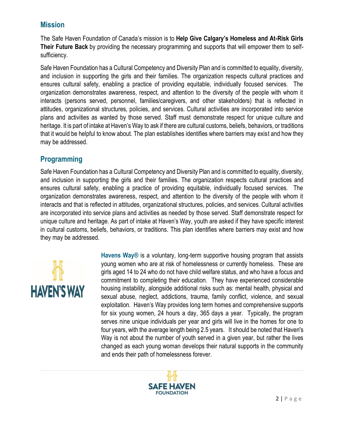### **Mission**

The Safe Haven Foundation of Canada's mission is to **Help Give Calgary's Homeless and At-Risk Girls Their Future Back** by providing the necessary programming and supports that will empower them to selfsufficiency.

Safe Haven Foundation has a Cultural Competency and Diversity Plan and is committed to equality, diversity, and inclusion in supporting the girls and their families. The organization respects cultural practices and ensures cultural safety, enabling a practice of providing equitable, individually focused services. The organization demonstrates awareness, respect, and attention to the diversity of the people with whom it interacts (persons served, personnel, families/caregivers, and other stakeholders) that is reflected in attitudes, organizational structures, policies, and services. Cultural activities are incorporated into service plans and activities as wanted by those served. Staff must demonstrate respect for unique culture and heritage. It is part of intake at Haven's Way to ask if there are cultural customs, beliefs, behaviors, or traditions that it would be helpful to know about. The plan establishes identifies where barriers may exist and how they may be addressed.

## **Programming**

Safe Haven Foundation has a Cultural Competency and Diversity Plan and is committed to equality, diversity, and inclusion in supporting the girls and their families. The organization respects cultural practices and ensures cultural safety, enabling a practice of providing equitable, individually focused services. The organization demonstrates awareness, respect, and attention to the diversity of the people with whom it interacts and that is reflected in attitudes, organizational structures, policies, and services. Cultural activities are incorporated into service plans and activities as needed by those served. Staff demonstrate respect for unique culture and heritage. As part of intake at Haven's Way, youth are asked if they have specific interest in cultural customs, beliefs, behaviors, or traditions. This plan identifies where barriers may exist and how they may be addressed.



**Havens Way®** is a voluntary, long-term supportive housing program that assists young women who are at risk of homelessness or currently homeless. These are girls aged 14 to 24 who do not have child welfare status, and who have a focus and commitment to completing their education. They have experienced considerable housing instability, alongside additional risks such as: mental health, physical and sexual abuse, neglect, addictions, trauma, family conflict, violence, and sexual exploitation. Haven's Way provides long term homes and comprehensive supports for six young women, 24 hours a day, 365 days a year. Typically, the program serves nine unique individuals per year and girls will live in the homes for one to four years, with the average length being 2.5 years. It should be noted that Haven's Way is not about the number of youth served in a given year, but rather the lives changed as each young woman develops their natural supports in the community and ends their path of homelessness forever.

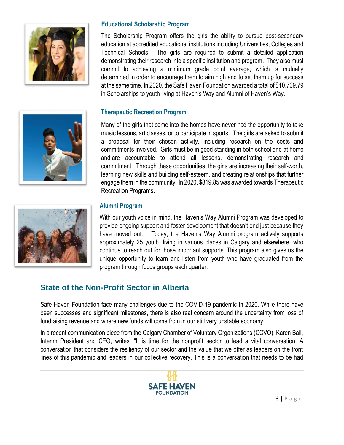

#### **Educational Scholarship Program**

The Scholarship Program offers the girls the ability to pursue post-secondary education at accredited educational institutions including Universities, Colleges and Technical Schools. The girls are required to submit a detailed application demonstrating their research into a specific institution and program. They also must commit to achieving a minimum grade point average, which is mutually determined in order to encourage them to aim high and to set them up for success at the same time. In 2020, the Safe Haven Foundation awarded a total of \$10,739.79 in Scholarships to youth living at Haven's Way and Alumni of Haven's Way.

#### **Therapeutic Recreation Program**

Many of the girls that come into the homes have never had the opportunity to take music lessons, art classes, or to participate in sports. The girls are asked to submit a proposal for their chosen activity, including research on the costs and commitments involved. Girls must be in good standing in both school and at home and are accountable to attend all lessons, demonstrating research and commitment. Through these opportunities, the girls are increasing their self-worth, learning new skills and building self-esteem, and creating relationships that further engage them in the community. In 2020, \$819.85 was awarded towards Therapeutic Recreation Programs.



#### **Alumni Program**

With our youth voice in mind, the Haven's Way Alumni Program was developed to provide ongoing support and foster development that doesn't end just because they have moved out. Today, the Haven's Way Alumni program actively supports approximately 25 youth, living in various places in Calgary and elsewhere, who continue to reach out for those important supports. This program also gives us the unique opportunity to learn and listen from youth who have graduated from the program through focus groups each quarter.

### **State of the Non-Profit Sector in Alberta**

Safe Haven Foundation face many challenges due to the COVID-19 pandemic in 2020. While there have been successes and significant milestones, there is also real concern around the uncertainty from loss of fundraising revenue and where new funds will come from in our still very unstable economy.

In a recent communication piece from the Calgary Chamber of Voluntary Organizations (CCVO), Karen Ball, Interim President and CEO, writes, "It is time for the nonprofit sector to lead a vital conversation. A conversation that considers the resiliency of our sector and the value that we offer as leaders on the front lines of this pandemic and leaders in our collective recovery. This is a conversation that needs to be had

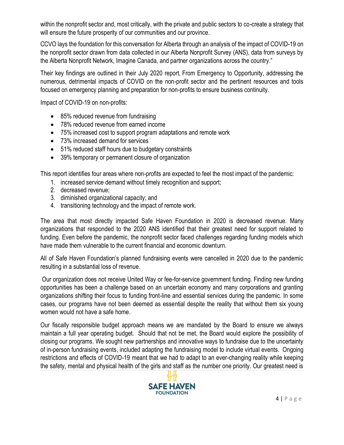within the nonprofit sector and, most critically, with the private and public sectors to co-create a strategy that will ensure the future prosperity of our communities and our province.

CCVO lays the foundation for this conversation for Alberta through an analysis of the impact of COVID-19 on the nonprofit sector drawn from data collected in our Alberta Nonprofit Survey (ANS), data from surveys by the Alberta Nonprofit Network, Imagine Canada, and partner organizations across the country."

Their key findings are outlined in their July 2020 report, From Emergency to Opportunity, addressing the numerous, detrimental impacts of COVID on the non-profit sector and the pertinent resources and tools focused on emergency planning and preparation for non-profits to ensure business continuity.

Impact of COVID-19 on non-profits:

- 85% reduced revenue from fundraising
- 78% reduced revenue from earned income
- 75% increased cost to support program adaptations and remote work
- 73% increased demand for services
- 51% reduced staff hours due to budgetary constraints
- 39% temporary or permanent closure of organization

This report identifies four areas where non-profits are expected to feel the most impact of the pandemic:

- 1. increased service demand without timely recognition and support;
- 2. decreased revenue;
- 3. diminished organizational capacity; and
- 4. transitioning technology and the impact of remote work.

The area that most directly impacted Safe Haven Foundation in 2020 is decreased revenue. Many organizations that responded to the 2020 ANS identified that their greatest need for support related to funding. Even before the pandemic, the nonprofit sector faced challenges regarding funding models which have made them vulnerable to the current financial and economic downturn.

All of Safe Haven Foundation's planned fundraising events were cancelled in 2020 due to the pandemic resulting in a substantial loss of revenue.

Our organization does not receive United Way or fee-for-service government funding. Finding new funding opportunities has been a challenge based on an uncertain economy and many corporations and granting organizations shifting their focus to funding front-line and essential services during the pandemic. In some cases, our programs have not been deemed as essential despite the reality that without them six young women would not have a safe home.

Our fiscally responsible budget approach means we are mandated by the Board to ensure we always maintain a full year operating budget. Should that not be met, the Board would explore the possibility of closing our programs. We sought new partnerships and innovative ways to fundraise due to the uncertainty of in-person fundraising events, included adapting the fundraising model to include virtual events. Ongoing restrictions and effects of COVID-19 meant that we had to adapt to an ever-changing reality while keeping the safety, mental and physical health of the girls and staff as the number one priority. Our greatest need is

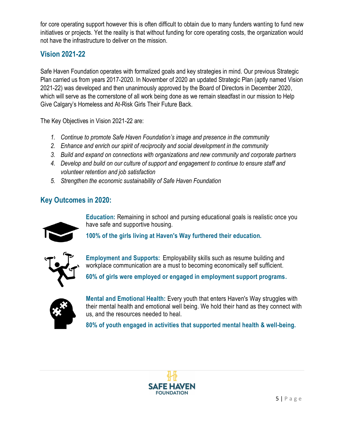for core operating support however this is often difficult to obtain due to many funders wanting to fund new initiatives or projects. Yet the reality is that without funding for core operating costs, the organization would not have the infrastructure to deliver on the mission.

## **Vision 2021-22**

Safe Haven Foundation operates with formalized goals and key strategies in mind. Our previous Strategic Plan carried us from years 2017-2020. In November of 2020 an updated Strategic Plan (aptly named Vision 2021-22) was developed and then unanimously approved by the Board of Directors in December 2020, which will serve as the cornerstone of all work being done as we remain steadfast in our mission to Help Give Calgary's Homeless and At-Risk Girls Their Future Back.

The Key Objectives in Vision 2021-22 are:

- *1. Continue to promote Safe Haven Foundation's image and presence in the community*
- *2. Enhance and enrich our spirit of reciprocity and social development in the community*
- *3. Build and expand on connections with organizations and new community and corporate partners*
- *4. Develop and build on our culture of support and engagement to continue to ensure staff and volunteer retention and job satisfaction*
- *5. Strengthen the economic sustainability of Safe Haven Foundation*

# **Key Outcomes in 2020:**



**Education:** Remaining in school and pursing educational goals is realistic once you have safe and supportive housing.

**100% of the girls living at Haven's Way furthered their education.**



**Employment and Supports:** Employability skills such as resume building and workplace communication are a must to becoming economically self sufficient.

**60% of girls were employed or engaged in employment support programs.**



**Mental and Emotional Health:** Every youth that enters Haven's Way struggles with their mental health and emotional well being. We hold their hand as they connect with us, and the resources needed to heal.

**80% of youth engaged in activities that supported mental health & well-being.**

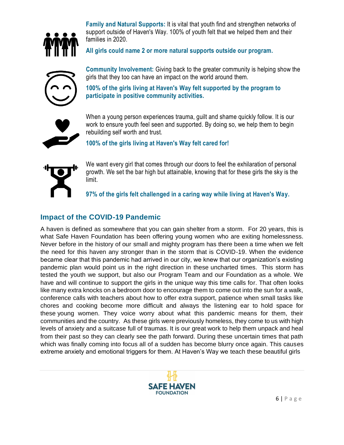

**Family and Natural Supports:** It is vital that youth find and strengthen networks of support outside of Haven's Way. 100% of youth felt that we helped them and their families in 2020.

**All girls could name 2 or more natural supports outside our program.**



**Community Involvement:** Giving back to the greater community is helping show the girls that they too can have an impact on the world around them.

**100% of the girls living at Haven's Way felt supported by the program to participate in positive community activities.** 

When a young person experiences trauma, guilt and shame quickly follow. It is our work to ensure youth feel seen and supported. By doing so, we help them to begin rebuilding self worth and trust.

**100% of the girls living at Haven's Way felt cared for!** 



We want every girl that comes through our doors to feel the exhilaration of personal growth. We set the bar high but attainable, knowing that for these girls the sky is the limit.

**97% of the girls felt challenged in a caring way while living at Haven's Way.**

## **Impact of the COVID-19 Pandemic**

A haven is defined as somewhere that you can gain shelter from a storm. For 20 years, this is what Safe Haven Foundation has been offering young women who are exiting homelessness. Never before in the history of our small and mighty program has there been a time when we felt the need for this haven any stronger than in the storm that is COVID-19. When the evidence became clear that this pandemic had arrived in our city, we knew that our organization's existing pandemic plan would point us in the right direction in these uncharted times. This storm has tested the youth we support, but also our Program Team and our Foundation as a whole. We have and will continue to support the girls in the unique way this time calls for. That often looks like many extra knocks on a bedroom door to encourage them to come out into the sun for a walk, conference calls with teachers about how to offer extra support, patience when small tasks like chores and cooking become more difficult and always the listening ear to hold space for these young women. They voice worry about what this pandemic means for them, their communities and the country. As these girls were previously homeless, they come to us with high levels of anxiety and a suitcase full of traumas. It is our great work to help them unpack and heal from their past so they can clearly see the path forward. During these uncertain times that path which was finally coming into focus all of a sudden has become blurry once again. This causes extreme anxiety and emotional triggers for them. At Haven's Way we teach these beautiful girls

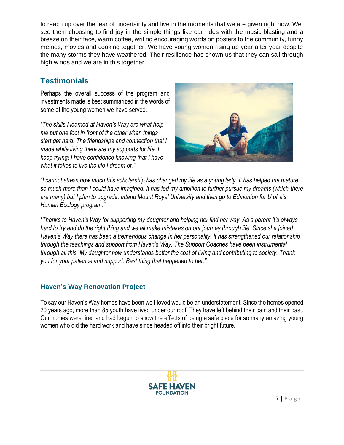to reach up over the fear of uncertainty and live in the moments that we are given right now. We see them choosing to find joy in the simple things like car rides with the music blasting and a breeze on their face, warm coffee, writing encouraging words on posters to the community, funny memes, movies and cooking together. We have young women rising up year after year despite the many storms they have weathered. Their resilience has shown us that they can sail through high winds and we are in this together.

# **Testimonials**

Perhaps the overall success of the program and investments made is best summarized in the words of some of the young women we have served.

*"The skills I learned at Haven's Way are what help me put one foot in front of the other when things start get hard. The friendships and connection that I made while living there are my supports for life. I keep trying! I have confidence knowing that I have what it takes to live the life I dream of."*



*"I cannot stress how much this scholarship has changed my life as a young lady. It has helped me mature so much more than I could have imagined. It has fed my ambition to further pursue my dreams (which there are many) but I plan to upgrade, attend Mount Royal University and then go to Edmonton for U of a's Human Ecology program."*

*"Thanks to Haven's Way for supporting my daughter and helping her find her way. As a parent it's always hard to try and do the right thing and we all make mistakes on our journey through life. Since she joined Haven's Way there has been a tremendous change in her personality. It has strengthened our relationship through the teachings and support from Haven's Way. The Support Coaches have been instrumental through all this. My daughter now understands better the cost of living and contributing to society. Thank you for your patience and support. Best thing that happened to her."*

### **Haven's Way Renovation Project**

To say our Haven's Way homes have been well-loved would be an understatement. Since the homes opened 20 years ago, more than 85 youth have lived under our roof. They have left behind their pain and their past. Our homes were tired and had begun to show the effects of being a safe place for so many amazing young women who did the hard work and have since headed off into their bright future.

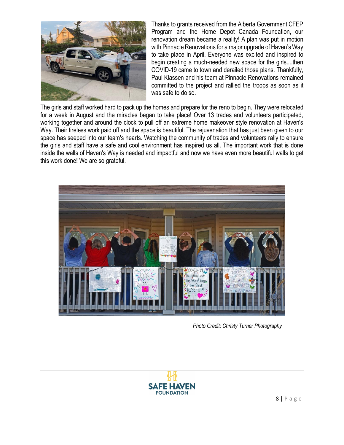

Thanks to grants received from the Alberta Government CFEP Program and the Home Depot Canada Foundation, our renovation dream became a reality! A plan was put in motion with Pinnacle Renovations for a major upgrade of Haven's Way to take place in April. Everyone was excited and inspired to begin creating a much-needed new space for the girls....then COVID-19 came to town and derailed those plans. Thankfully, Paul Klassen and his team at Pinnacle Renovations remained committed to the project and rallied the troops as soon as it was safe to do so.

The girls and staff worked hard to pack up the homes and prepare for the reno to begin. They were relocated for a week in August and the miracles began to take place! Over 13 trades and volunteers participated, working together and around the clock to pull off an extreme home makeover style renovation at Haven's Way. Their tireless work paid off and the space is beautiful. The rejuvenation that has just been given to our space has seeped into our team's hearts. Watching the community of trades and volunteers rally to ensure the girls and staff have a safe and cool environment has inspired us all. The important work that is done inside the walls of Haven's Way is needed and impactful and now we have even more beautiful walls to get this work done! We are so grateful.



 *Photo Credit: Christy Turner Photography*

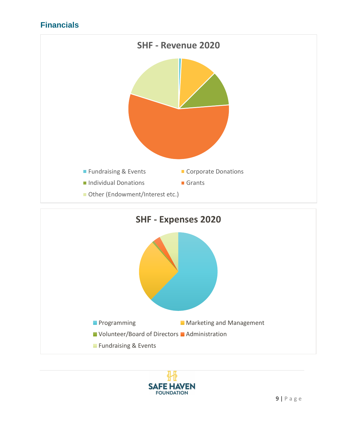# **Financials**





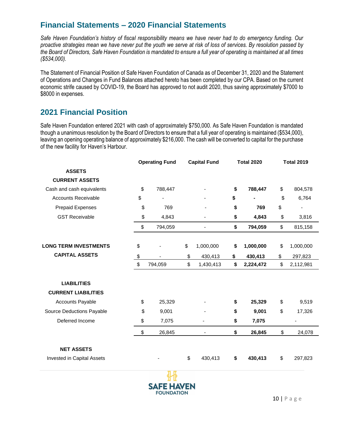# **Financial Statements – 2020 Financial Statements**

*Safe Haven Foundation's history of fiscal responsibility means we have never had to do emergency funding. Our proactive strategies mean we have never put the youth we serve at risk of loss of services. By resolution passed by the Board of Directors, Safe Haven Foundation is mandated to ensure a full year of operating is maintained at all times (\$534,000).*

The Statement of Financial Position of Safe Haven Foundation of Canada as of December 31, 2020 and the Statement of Operations and Changes in Fund Balances attached hereto has been completed by our CPA. Based on the current economic strife caused by COVID-19, the Board has approved to not audit 2020, thus saving approximately \$7000 to \$8000 in expenses.

## **2021 Financial Position**

Safe Haven Foundation entered 2021 with cash of approximately \$750,000. As Safe Haven Foundation is mandated though a unanimous resolution by the Board of Directors to ensure that a full year of operating is maintained (\$534,000), leaving an opening operating balance of approximately \$216,000. The cash will be converted to capital for the purchase of the new facility for Haven's Harbour.

|                              | <b>Operating Fund</b> | <b>Capital Fund</b> | <b>Total 2020</b> | <b>Total 2019</b> |
|------------------------------|-----------------------|---------------------|-------------------|-------------------|
| <b>ASSETS</b>                |                       |                     |                   |                   |
| <b>CURRENT ASSETS</b>        |                       |                     |                   |                   |
| Cash and cash equivalents    | \$<br>788,447         |                     | \$<br>788,447     | \$<br>804,578     |
| <b>Accounts Receivable</b>   | \$                    |                     | \$                | \$<br>6,764       |
| <b>Prepaid Expenses</b>      | \$<br>769             |                     | \$<br>769         | \$                |
| <b>GST Receivable</b>        | \$<br>4,843           |                     | \$<br>4,843       | \$<br>3,816       |
|                              | \$<br>794,059         |                     | \$<br>794,059     | \$<br>815,158     |
|                              |                       |                     |                   |                   |
| <b>LONG TERM INVESTMENTS</b> | \$                    | \$<br>1,000,000     | \$<br>1,000,000   | \$<br>1,000,000   |
| <b>CAPITAL ASSETS</b>        | \$                    | \$<br>430,413       | \$<br>430,413     | \$<br>297,823     |
|                              | \$<br>794,059         | \$<br>1,430,413     | \$<br>2,224,472   | \$<br>2,112,981   |
| <b>LIABILITIES</b>           |                       |                     |                   |                   |
| <b>CURRENT LIABILITIES</b>   |                       |                     |                   |                   |
| <b>Accounts Payable</b>      | \$<br>25,329          |                     | \$<br>25,329      | \$<br>9,519       |
| Source Deductions Payable    | \$<br>9,001           |                     | \$<br>9,001       | \$<br>17,326      |
| Deferred Income              | \$<br>7,075           |                     | \$<br>7,075       |                   |
|                              | \$<br>26,845          |                     | \$<br>26,845      | \$<br>24,078      |
|                              |                       |                     |                   |                   |
| <b>NET ASSETS</b>            |                       |                     |                   |                   |
| Invested in Capital Assets   |                       | \$<br>430,413       | \$<br>430,413     | \$<br>297,823     |
|                              | n m                   |                     |                   |                   |

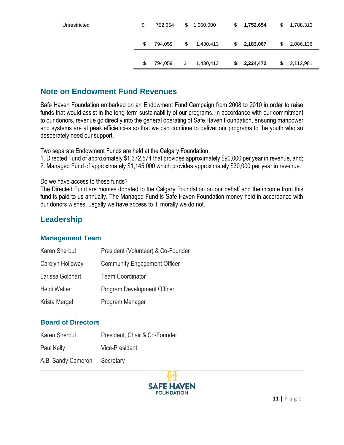| Unrestricted | \$<br>752,654 | \$<br>1,000,000 | S. | 1,752,654 | \$<br>1,788,313 |
|--------------|---------------|-----------------|----|-----------|-----------------|
|              |               |                 |    |           |                 |
|              | \$<br>794,059 | \$<br>1,430,413 | \$ | 2,183,067 | \$<br>2,086,136 |
|              |               |                 |    |           |                 |
|              | \$<br>794,059 | \$<br>1,430,413 | \$ | 2,224,472 | \$<br>2,112,981 |

## **Note on Endowment Fund Revenues**

Safe Haven Foundation embarked on an Endowment Fund Campaign from 2008 to 2010 in order to raise funds that would assist in the long-term sustainability of our programs. In accordance with our commitment to our donors, revenue go directly into the general operating of Safe Haven Foundation, ensuring manpower and systems are at peak efficiencies so that we can continue to deliver our programs to the youth who so desperately need our support.

Two separate Endowment Funds are held at the Calgary Foundation.

1. Directed Fund of approximately \$1,372,574 that provides approximately \$90,000 per year in revenue, and;

2. Managed Fund of approximately \$1,145,000 which provides approximately \$30,000 per year in revenue.

#### Do we have access to these funds?

The Directed Fund are monies donated to the Calgary Foundation on our behalf and the income from this fund is paid to us annually. The Managed Fund is Safe Haven Foundation money held in accordance with our donors wishes. Legally we have access to it; morally we do not.

# **Leadership**

#### **Management Team**

| Karen Sherbut    | President (Volunteer) & Co-Founder  |
|------------------|-------------------------------------|
| Carolyn Holloway | <b>Community Engagement Officer</b> |
| Larissa Goldhart | <b>Team Coordinator</b>             |
| Heidi Walter     | Program Development Officer         |
| Krista Mergel    | Program Manager                     |

#### **Board of Directors**

| Karen Sherbut                | President, Chair & Co-Founder |
|------------------------------|-------------------------------|
| Paul Kelly                   | <b>Vice-President</b>         |
| A.B. Sandy Cameron Secretary |                               |

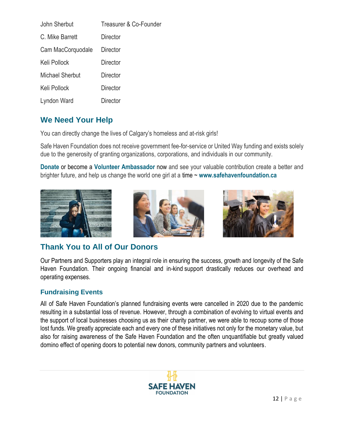| John Sherbut           | Treasurer & Co-Founder |
|------------------------|------------------------|
| C. Mike Barrett        | Director               |
| Cam MacCorquodale      | Director               |
| Keli Pollock           | Director               |
| <b>Michael Sherbut</b> | Director               |
| Keli Pollock           | Director               |
| Lyndon Ward            | Director               |

# **We Need Your Help**

You can directly change the lives of Calgary's homeless and at-risk girls!

Safe Haven Foundation does not receive government fee-for-service or United Way funding and exists solely due to the generosity of granting organizations, corporations, and individuals in our community.

**Donate** or become a **Volunteer Ambassador** now and see your valuable contribution create a better and brighter future, and help us change the world one girl at a time ~ **[www.safehavenfoundation.ca](http://www.safehavenfoundation.ca/)**







# **Thank You to All of Our Donors**

Our Partners and Supporters play an integral role in ensuring the success, growth and longevity of the Safe Haven Foundation. Their ongoing financial and in-kind support drastically reduces our overhead and operating expenses.

### **Fundraising Events**

All of Safe Haven Foundation's planned fundraising events were cancelled in 2020 due to the pandemic resulting in a substantial loss of revenue. However, through a combination of evolving to virtual events and the support of local businesses choosing us as their charity partner, we were able to recoup some of those lost funds. We greatly appreciate each and every one of these initiatives not only for the monetary value, but also for raising awareness of the Safe Haven Foundation and the often unquantifiable but greatly valued domino effect of opening doors to potential new donors, community partners and volunteers.

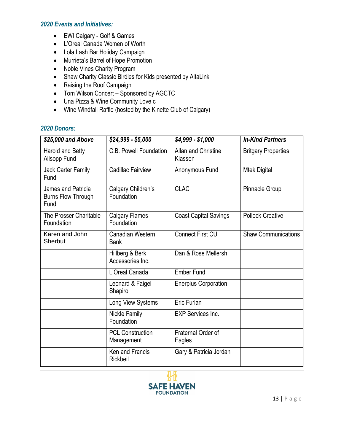#### *2020 Events and Initiatives:*

- EWI Calgary Golf & Games
- L'Oreal Canada Women of Worth
- Lola Lash Bar Holiday Campaign
- Murrieta's Barrel of Hope Promotion
- Noble Vines Charity Program
- Shaw Charity Classic Birdies for Kids presented by AltaLink
- Raising the Roof Campaign
- Tom Wilson Concert Sponsored by AGCTC
- Una Pizza & Wine Community Love c
- Wine Windfall Raffle (hosted by the Kinette Club of Calgary)

#### *2020 Donors:*

| \$25,000 and Above                                      | $$24,999 - $5,000$                     | \$4,999 - \$1,000              | <b>In-Kind Partners</b>    |
|---------------------------------------------------------|----------------------------------------|--------------------------------|----------------------------|
| Harold and Betty<br>Allsopp Fund                        | C.B. Powell Foundation                 | Allan and Christine<br>Klassen | <b>Britgary Properties</b> |
| Jack Carter Family<br>Fund                              | Cadillac Fairview                      | Anonymous Fund                 | <b>Mtek Digital</b>        |
| James and Patricia<br><b>Burns Flow Through</b><br>Fund | Calgary Children's<br>Foundation       | <b>CLAC</b>                    | <b>Pinnacle Group</b>      |
| The Prosser Charitable<br>Foundation                    | <b>Calgary Flames</b><br>Foundation    | <b>Coast Capital Savings</b>   | <b>Pollock Creative</b>    |
| Karen and John<br>Sherbut                               | <b>Canadian Western</b><br><b>Bank</b> | <b>Connect First CU</b>        | <b>Shaw Communications</b> |
|                                                         | Hillberg & Berk<br>Accessories Inc.    | Dan & Rose Mellersh            |                            |
|                                                         | L'Oreal Canada                         | <b>Ember Fund</b>              |                            |
|                                                         | Leonard & Faigel<br>Shapiro            | <b>Enerplus Corporation</b>    |                            |
|                                                         | Long View Systems                      | Eric Furlan                    |                            |
|                                                         | Nickle Family<br>Foundation            | <b>EXP Services Inc.</b>       |                            |
|                                                         | <b>PCL Construction</b><br>Management  | Fraternal Order of<br>Eagles   |                            |
|                                                         | Ken and Francis<br>Rickbeil            | Gary & Patricia Jordan         |                            |